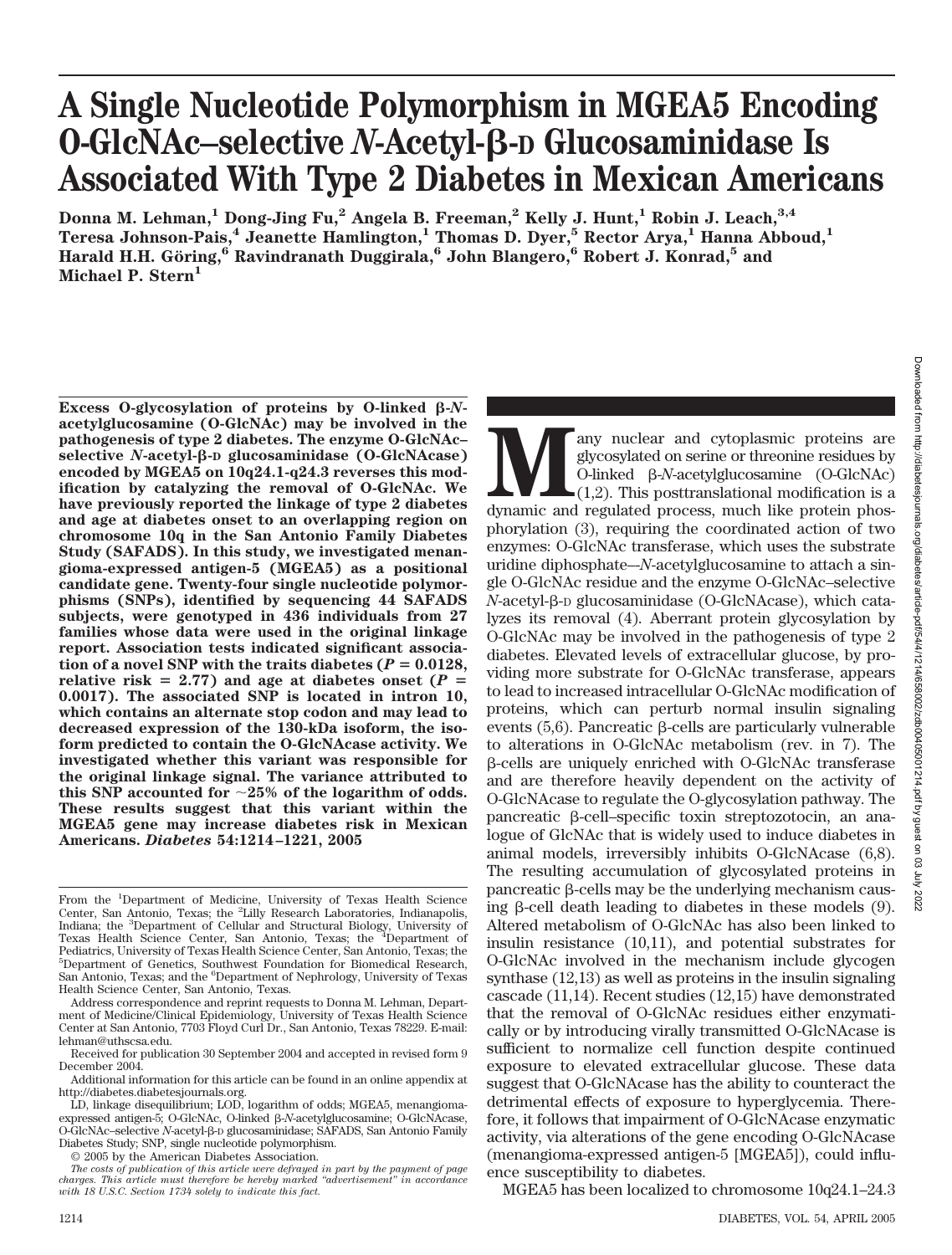# **A Single Nucleotide Polymorphism in MGEA5 Encoding O-GlcNAc–selective** *N***-Acetyl--D Glucosaminidase Is Associated With Type 2 Diabetes in Mexican Americans**

**Donna M. Lehman,1 Dong-Jing Fu,2 Angela B. Freeman,2 Kelly J. Hunt,1 Robin J. Leach,3,4 Teresa Johnson-Pais,4 Jeanette Hamlington,1 Thomas D. Dyer,5 Rector Arya,1 Hanna Abboud,1 Harald H.H. Go¨ring,6 Ravindranath Duggirala,6 John Blangero,6 Robert J. Konrad,5 and** Michael P. Stern<sup>1</sup>

Excess O-glycosylation of proteins by O-linked  $\beta$ -*N***acetylglucosamine (O-GlcNAc) may be involved in the pathogenesis of type 2 diabetes. The enzyme O-GlcNAc– selective** *N***-acetyl--D glucosaminidase (O-GlcNAcase) encoded by MGEA5 on 10q24.1-q24.3 reverses this modification by catalyzing the removal of O-GlcNAc. We have previously reported the linkage of type 2 diabetes and age at diabetes onset to an overlapping region on chromosome 10q in the San Antonio Family Diabetes Study (SAFADS). In this study, we investigated menangioma-expressed antigen-5 (MGEA5) as a positional candidate gene. Twenty-four single nucleotide polymorphisms (SNPs), identified by sequencing 44 SAFADS subjects, were genotyped in 436 individuals from 27 families whose data were used in the original linkage report. Association tests indicated significant associa** $t$  tion of a novel SNP with the traits diabetes ( $P = 0.0128$ , relative risk  $= 2.77$ ) and age at diabetes onset ( $P =$ **0.0017). The associated SNP is located in intron 10, which contains an alternate stop codon and may lead to decreased expression of the 130-kDa isoform, the isoform predicted to contain the O-GlcNAcase activity. We investigated whether this variant was responsible for the original linkage signal. The variance attributed to this SNP accounted for 25% of the logarithm of odds. These results suggest that this variant within the MGEA5 gene may increase diabetes risk in Mexican Americans.** *Diabetes* **54:1214–1221, 2005**

© 2005 by the American Diabetes Association.

**Many nuclear and cytoplasmic proteins are glycosylated on serine or threonine residues by O-linked**  $\beta$ **-N-acetylglucosamine (O-GlcNAc) (1,2). This posttranslational modification is a dynamic and regulated process, much li** glycosylated on serine or threonine residues by O-linked --*N*-acetylglucosamine (O-GlcNAc)  $\Box$ (1,2). This posttranslational modification is a phorylation (3), requiring the coordinated action of two enzymes: O-GlcNAc transferase, which uses the substrate uridine diphosphate–-*N*-acetylglucosamine to attach a single O-GlcNAc residue and the enzyme O-GlcNAc–selective *N*-acetyl-β-D glucosaminidase (O-GlcNAcase), which catalyzes its removal (4). Aberrant protein glycosylation by O-GlcNAc may be involved in the pathogenesis of type 2 diabetes. Elevated levels of extracellular glucose, by providing more substrate for O-GlcNAc transferase, appears to lead to increased intracellular O-GlcNAc modification of proteins, which can perturb normal insulin signaling events  $(5,6)$ . Pancreatic  $\beta$ -cells are particularly vulnerable to alterations in O-GlcNAc metabolism (rev. in 7). The --cells are uniquely enriched with O-GlcNAc transferase and are therefore heavily dependent on the activity of O-GlcNAcase to regulate the O-glycosylation pathway. The pancreatic β-cell–specific toxin streptozotocin, an analogue of GlcNAc that is widely used to induce diabetes in animal models, irreversibly inhibits O-GlcNAcase (6,8). The resulting accumulation of glycosylated proteins in  $\mu$ ancreatic  $\beta$ -cells may be the underlying mechanism causing  $\beta$ -cell death leading to diabetes in these models  $(9)$ . Altered metabolism of O-GlcNAc has also been linked to insulin resistance (10,11), and potential substrates for O-GlcNAc involved in the mechanism include glycogen synthase (12,13) as well as proteins in the insulin signaling cascade (11,14). Recent studies (12,15) have demonstrated that the removal of O-GlcNAc residues either enzymatically or by introducing virally transmitted O-GlcNAcase is sufficient to normalize cell function despite continued exposure to elevated extracellular glucose. These data suggest that O-GlcNAcase has the ability to counteract the detrimental effects of exposure to hyperglycemia. Therefore, it follows that impairment of O-GlcNAcase enzymatic activity, via alterations of the gene encoding O-GlcNAcase (menangioma-expressed antigen-5 [MGEA5]), could influence susceptibility to diabetes.

MGEA5 has been localized to chromosome 10q24.1–24.3

From the <sup>1</sup>Department of Medicine, University of Texas Health Science Center, San Antonio, Texas; the <sup>2</sup>Lilly Research Laboratories, Indianapolis, Indiana; the <sup>3</sup>Department of Cellular and Structural Biology, University of Texas Health Science Center, San Antonio, Texas; the <sup>4</sup>Department of Pediatrics, University of Texas Health Science Center, San Antonio, Texas; the 5 Department of Genetics, Southwest Foundation for Biomedical Research, San Antonio, Texas; and the <sup>6</sup>Department of Nephrology, University of Texas Health Science Center, San Antonio, Texas.

Address correspondence and reprint requests to Donna M. Lehman, Department of Medicine/Clinical Epidemiology, University of Texas Health Science Center at San Antonio, 7703 Floyd Curl Dr., San Antonio, Texas 78229. E-mail: lehman@uthscsa.edu.

Received for publication 30 September 2004 and accepted in revised form 9 December 2004.

Additional information for this article can be found in an online appendix at http://diabetes.diabetesjournals.org.

LD, linkage disequilibrium; LOD, logarithm of odds; MGEA5, menangiomaexpressed antigen-5; O-GlcNAc, O-linked β-N-acetylglucosamine; O-GlcNAcase, O-GlcNAc-selective N-acetyl-<sup>3</sup>-D glucosaminidase; SAFADS, San Antonio Family Diabetes Study; SNP, single nucleotide polymorphism.

*The costs of publication of this article were defrayed in part by the payment of page charges. This article must therefore be hereby marked "advertisement" in accordance with 18 U.S.C. Section 1734 solely to indicate this fact.*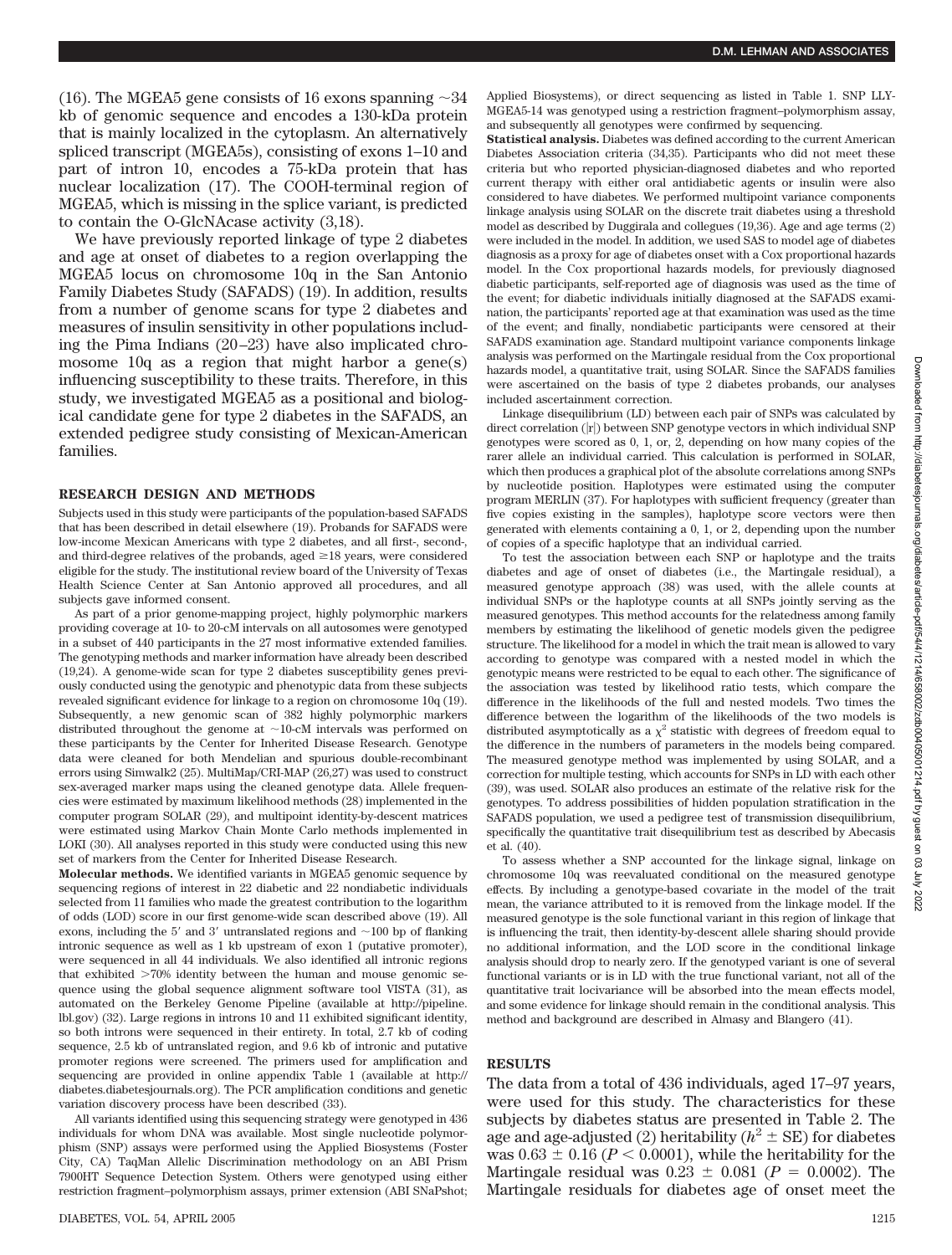(16). The MGEA5 gene consists of 16 exons spanning  $\sim$ 34 kb of genomic sequence and encodes a 130-kDa protein that is mainly localized in the cytoplasm. An alternatively spliced transcript (MGEA5s), consisting of exons 1–10 and part of intron 10, encodes a 75-kDa protein that has nuclear localization (17). The COOH-terminal region of MGEA5, which is missing in the splice variant, is predicted to contain the O-GlcNAcase activity (3,18).

We have previously reported linkage of type 2 diabetes and age at onset of diabetes to a region overlapping the MGEA5 locus on chromosome 10q in the San Antonio Family Diabetes Study (SAFADS) (19). In addition, results from a number of genome scans for type 2 diabetes and measures of insulin sensitivity in other populations including the Pima Indians (20 –23) have also implicated chromosome 10q as a region that might harbor a gene(s) influencing susceptibility to these traits. Therefore, in this study, we investigated MGEA5 as a positional and biological candidate gene for type 2 diabetes in the SAFADS, an extended pedigree study consisting of Mexican-American families.

#### **RESEARCH DESIGN AND METHODS**

Subjects used in this study were participants of the population-based SAFADS that has been described in detail elsewhere (19). Probands for SAFADS were low-income Mexican Americans with type 2 diabetes, and all first-, second-, and third-degree relatives of the probands, aged  $\geq$  18 years, were considered eligible for the study. The institutional review board of the University of Texas Health Science Center at San Antonio approved all procedures, and all subjects gave informed consent.

As part of a prior genome-mapping project, highly polymorphic markers providing coverage at 10- to 20-cM intervals on all autosomes were genotyped in a subset of 440 participants in the 27 most informative extended families. The genotyping methods and marker information have already been described (19,24). A genome-wide scan for type 2 diabetes susceptibility genes previously conducted using the genotypic and phenotypic data from these subjects revealed significant evidence for linkage to a region on chromosome 10q (19). Subsequently, a new genomic scan of 382 highly polymorphic markers distributed throughout the genome at  $\sim$ 10-cM intervals was performed on these participants by the Center for Inherited Disease Research. Genotype data were cleaned for both Mendelian and spurious double-recombinant errors using Simwalk2 (25). MultiMap/CRI-MAP (26,27) was used to construct sex-averaged marker maps using the cleaned genotype data. Allele frequencies were estimated by maximum likelihood methods (28) implemented in the computer program SOLAR (29), and multipoint identity-by-descent matrices were estimated using Markov Chain Monte Carlo methods implemented in LOKI (30). All analyses reported in this study were conducted using this new set of markers from the Center for Inherited Disease Research.

**Molecular methods.** We identified variants in MGEA5 genomic sequence by sequencing regions of interest in 22 diabetic and 22 nondiabetic individuals selected from 11 families who made the greatest contribution to the logarithm of odds (LOD) score in our first genome-wide scan described above (19). All exons, including the  $5'$  and  $3'$  untranslated regions and  $\sim$ 100 bp of flanking intronic sequence as well as 1 kb upstream of exon 1 (putative promoter), were sequenced in all 44 individuals. We also identified all intronic regions that exhibited  $>70\%$  identity between the human and mouse genomic sequence using the global sequence alignment software tool VISTA (31), as automated on the Berkeley Genome Pipeline (available at http://pipeline. lbl.gov) (32). Large regions in introns 10 and 11 exhibited significant identity, so both introns were sequenced in their entirety. In total, 2.7 kb of coding sequence, 2.5 kb of untranslated region, and 9.6 kb of intronic and putative promoter regions were screened. The primers used for amplification and sequencing are provided in online appendix Table 1 (available at http:// diabetes.diabetesjournals.org). The PCR amplification conditions and genetic variation discovery process have been described (33).

All variants identified using this sequencing strategy were genotyped in 436 individuals for whom DNA was available. Most single nucleotide polymorphism (SNP) assays were performed using the Applied Biosystems (Foster City, CA) TaqMan Allelic Discrimination methodology on an ABI Prism 7900HT Sequence Detection System. Others were genotyped using either restriction fragment–polymorphism assays, primer extension (ABI SNaPshot; Applied Biosystems), or direct sequencing as listed in Table 1. SNP LLY-MGEA5-14 was genotyped using a restriction fragment–polymorphism assay, and subsequently all genotypes were confirmed by sequencing.

**Statistical analysis.** Diabetes was defined according to the current American Diabetes Association criteria (34,35). Participants who did not meet these criteria but who reported physician-diagnosed diabetes and who reported current therapy with either oral antidiabetic agents or insulin were also considered to have diabetes. We performed multipoint variance components linkage analysis using SOLAR on the discrete trait diabetes using a threshold model as described by Duggirala and collegues (19,36). Age and age terms (2) were included in the model. In addition, we used SAS to model age of diabetes diagnosis as a proxy for age of diabetes onset with a Cox proportional hazards model. In the Cox proportional hazards models, for previously diagnosed diabetic participants, self-reported age of diagnosis was used as the time of the event; for diabetic individuals initially diagnosed at the SAFADS examination, the participants' reported age at that examination was used as the time of the event; and finally, nondiabetic participants were censored at their SAFADS examination age. Standard multipoint variance components linkage analysis was performed on the Martingale residual from the Cox proportional hazards model, a quantitative trait, using SOLAR. Since the SAFADS families were ascertained on the basis of type 2 diabetes probands, our analyses included ascertainment correction.

Linkage disequilibrium (LD) between each pair of SNPs was calculated by direct correlation (|r|) between SNP genotype vectors in which individual SNP genotypes were scored as 0, 1, or, 2, depending on how many copies of the rarer allele an individual carried. This calculation is performed in SOLAR, which then produces a graphical plot of the absolute correlations among SNPs by nucleotide position. Haplotypes were estimated using the computer program MERLIN (37). For haplotypes with sufficient frequency (greater than five copies existing in the samples), haplotype score vectors were then generated with elements containing a 0, 1, or 2, depending upon the number of copies of a specific haplotype that an individual carried.

To test the association between each SNP or haplotype and the traits diabetes and age of onset of diabetes (i.e., the Martingale residual), a measured genotype approach (38) was used, with the allele counts at individual SNPs or the haplotype counts at all SNPs jointly serving as the measured genotypes. This method accounts for the relatedness among family members by estimating the likelihood of genetic models given the pedigree structure. The likelihood for a model in which the trait mean is allowed to vary according to genotype was compared with a nested model in which the genotypic means were restricted to be equal to each other. The significance of the association was tested by likelihood ratio tests, which compare the difference in the likelihoods of the full and nested models. Two times the difference between the logarithm of the likelihoods of the two models is distributed asymptotically as a  $\chi^2$  statistic with degrees of freedom equal to the difference in the numbers of parameters in the models being compared. The measured genotype method was implemented by using SOLAR, and a correction for multiple testing, which accounts for SNPs in LD with each other (39), was used. SOLAR also produces an estimate of the relative risk for the genotypes. To address possibilities of hidden population stratification in the SAFADS population, we used a pedigree test of transmission disequilibrium, specifically the quantitative trait disequilibrium test as described by Abecasis et al. (40).

To assess whether a SNP accounted for the linkage signal, linkage on chromosome 10q was reevaluated conditional on the measured genotype effects. By including a genotype-based covariate in the model of the trait mean, the variance attributed to it is removed from the linkage model. If the measured genotype is the sole functional variant in this region of linkage that is influencing the trait, then identity-by-descent allele sharing should provide no additional information, and the LOD score in the conditional linkage analysis should drop to nearly zero. If the genotyped variant is one of several functional variants or is in LD with the true functional variant, not all of the quantitative trait locivariance will be absorbed into the mean effects model, and some evidence for linkage should remain in the conditional analysis. This method and background are described in Almasy and Blangero (41).

## **RESULTS**

The data from a total of 436 individuals, aged 17–97 years, were used for this study. The characteristics for these subjects by diabetes status are presented in Table 2. The age and age-adjusted (2) heritability  $(h^2 \pm SE)$  for diabetes was  $0.63 \pm 0.16$  ( $P < 0.0001$ ), while the heritability for the Martingale residual was  $0.23 \pm 0.081$  ( $P = 0.0002$ ). The Martingale residuals for diabetes age of onset meet the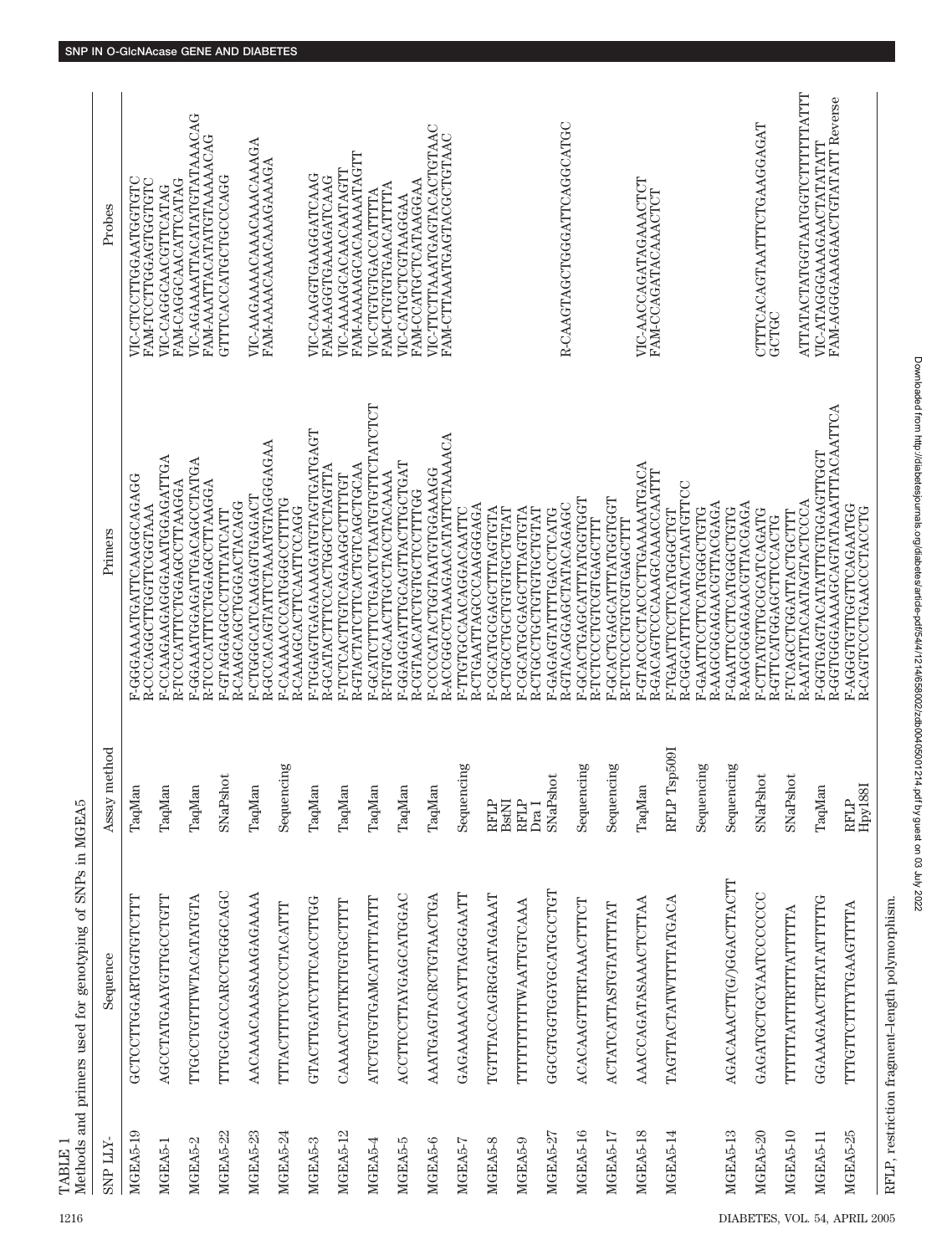| 1216                          | TABLE 1         | Methods and primers used for genotyping of SNPs in MGEA5 |                         |                                                                  |                                                              |
|-------------------------------|-----------------|----------------------------------------------------------|-------------------------|------------------------------------------------------------------|--------------------------------------------------------------|
|                               | SNP LLY-        | Sequence                                                 | Assay method            | Primers                                                          | Probes                                                       |
|                               | MGEA5-19        | GCTCCTTGGARTGGTGTCTTT                                    | TaqMan                  | F-GGGAAATGATTCAAGCAGAGG<br>R-CCCAGGCTTGGTTCGGTAAA                | VIC-CTCCTTGGAATGGTGTC<br><b>FAM-TCCTTGGAGTGGTGTC</b>         |
|                               | MGEA5-1         | AGCCTATGAAYGTTGCCTGTT                                    | TaqMan                  | F-CCAAGAAGAGGGAAATGGAGATTGA<br>R-TCCCATTTCTGGAGCCTTAAGGA         | FAM-CAGGCAACATTCATAG<br>VIC-CAGGCAACGTTCATAG                 |
|                               | MGEA5-2         | TTGCCTGTTTWTACATATGTA                                    | TaqMan                  | F-GGAAATGGAGATTGACAGCCTATGA<br>R-TCCCATTTCTGGAGCCTTAAGGA         | VIC-AGAAAATTACATATGTATAAACAG<br>FAM-AAATTACATATGTAAAAACAG    |
|                               | <b>MGEA5-22</b> | TTTGCGACCARCCTGGGCAGC                                    | SNaPshot                | R-CAAGCAGCTGGGACTACAGG<br>F-GTAGGAGGCCTTTTATCATT                 | GTTTCACCATGCTGCCCAGG                                         |
|                               | MGEA5-23        | AACAAACAAASAAAGAGAAAAA                                   | TaqMan                  | R-GCCACAGTATTCTAAATGTAGGGAGAA<br>F-CTGGGCATCAAGAGTGAGACT         | VIC-AAGAAAAACAAACAAAAGA<br>FAM-AAAACAAACAAAGAAAGA            |
|                               | MGEA5-24        | TTTACTTTTCYCCCTACATTT                                    | Sequencing              | F-CAAAAACCCATGGGCCTTTTG<br>R-CAAAGCACTTCAATTCCAGG                |                                                              |
|                               | MGEA5-3         | GTACTTGATCYTTCACCTTGG                                    | TaqMan                  | F-TGGAGTGAGAAAAGATGTAGTGATGAGT<br>R-GCATACTTTCCACTGGCTCTAGTTA    | VIC-CAAGGTGAAGGATCAAG<br>FAM-AAGGTGAAAGATCAAG                |
|                               | MGEA5-12        | CAAAACTATTKTTGTGCTTTT                                    | TaqMan                  | R-GTACTATCTTCACTGTCAGCTGCAA<br>F-TCTCACTTGTCAGAAGGCTTTTGT        | FAM-AAAAAGCACAAAAAATAGTT<br>VIC-AAAAGCACAACAATAGTT           |
|                               | MGEA5-4         | ATCTGTGTGAMCATTTTATTT                                    | TaqMan                  | F-GCATCTTTCTGAATCTAATGTGTTCTATCTCT<br>R-TGTGCAACTTGCCTACCTACAAAA | FAM-CTGTGTGAACATTTTA<br>VIC-CTGTGTGACCATTTTA                 |
|                               | MGEA5-5         | ACCTTCCTTAYGAGCATGGAC                                    | TaqMan                  | F-GGAGGATTTGCAGTTACTTGCTGAT<br><b>R-CGTAACATCTGTGCTCCTTTGG</b>   | FAM-CCATGCTCATAAGGAA<br>VIC-CATGCTCGTAAGGAA                  |
|                               | MGEA5-6         | AAATGAGTACRCTGTAACTGA                                    | TaqMan                  | R-ACCGGCCTAAAGAACATATTCTAAAACA<br>F-CCCCATACTGGTAATGTGGAAAGG     | VIC-TTCTTAAATGAGTACACTGTAAC<br>FAM-CTTAAATGAGTACGCTGTAAC     |
|                               | MGEA5-7         | GAGAAAAACAYTTAGGGAATT                                    | Sequencing              | R-CTGAATTAGCCCAAGGGAGA<br>F-TTGTGCCAACAGGACAATTC                 |                                                              |
|                               | MGEA5-8         | TGTTTACCAGRGGATAGAAAT                                    | RFLP<br>BstNI           | R-CTGCCTGCTGTGCTGTAT<br>F-CGCATGCGAGCTTTAGTGTA                   |                                                              |
|                               | MGEA5-9         | TTTTTTTTTWAATTGTCAAA                                     | RFLP<br>$_{\text{Dra}}$ | F-CGCATGCGAGCTTTAGTGTA<br>R-CTGCCTGCTGTGCCTGTAT                  |                                                              |
|                               | MGEA5-27        | GGCGTGGTGGYGCATGCCTGT                                    | SNaPshot                | <b>R-GTACAGGAGCTATACAGAGC</b><br>F-GAGAGTATTTGACCTCATG           | R-CAAGTAGCTGGGATTCAGGCATGC                                   |
|                               | MGEA5-16        | ACACAAGTTTRTAAACTTTCT                                    | Sequencing              | F-GCACTGAGCATTTATGGTGGT<br><b>R-TCTCCCTGTCGTGAGCTTT</b>          |                                                              |
|                               | MGEA5-17        | ACTATCATTASTGTATTTTAT                                    | Sequencing              | F-GCACTGAGCATTTATGGTGGT<br>R-TCTCCCTGTCGTGAGCTTT                 |                                                              |
|                               | MGEA5-18        | <b>AAACCAGATASAAACTCTTAA</b>                             | TaqMan                  | F-GTACCCCTACCCTTGAAAAATGACA<br>R-GACAGTCCCAAAGCAAACCAATTT        | VIC-AACCAGATAGAAACTCT<br>FAM-CCAGATACAAACTCT                 |
|                               | MGEA5-14        | TAGTTACTATWTTTTATGACA                                    | RFLP Tsp509I            | <b>R-CGGCATTTCAATACTAATGTTCC</b><br>F-TGAATTCCTTCATGGGCTGT       |                                                              |
|                               |                 |                                                          | Sequencing              | R-AAGCGGAGAACGTTACGAGA<br>F-GAATTCCTTCATGGCTGTG                  |                                                              |
|                               | MGEA5-13        | AGACAAACTT(G/)GGACTTACTT                                 | Sequencing              | R-AAGCGGAGAACGTTACGAGA<br>F-GAATTCCTTCATGGCTGTG                  |                                                              |
|                               | MGEA5-20        | GAGATGCTGCYAATCCCCCC                                     | SNaPshot                | F-CTTATGTTGCGCATCAGATG<br>R-GTTCATGGAGCTTCCACTG                  | CTTTCACAGTAATTTCTGAAGGAGAT<br>GCTGC                          |
|                               | MGEA5-10        | TTTTTTATTTRTTTATTTTTA                                    | SNaPshot                | R-AATATTACAATAGTACTCCCA<br>F-TCAGCCTGGATTACTGCTTT                | ATTATACTATGGTAATGGTCTTTTTTATTT                               |
|                               | MGEA5-11        | GGAAAGAACTRTATATTTTG                                     | TaqMan                  | R-GGTGGAAAAGCAGTATAAATTTACAATTCA<br>F-GGTGAGTACATATTTGTGGAGTTGGT | FAM-AGGGAAAGAACTGTATATT Reverse<br>VIC-ATAGGGAAAGAACTATATATT |
| DIABETES, VOL. 54, APRIL 2005 | MGEA5-25        | TTTGTTCTTTTYTGAAGTTTTA                                   | Hpy188I<br>RFLP         | F-AGGGTGTTGGTTCAGAATGG<br>R-CAGTCCCTGAACCCTACCTG                 |                                                              |
|                               |                 | RFLP, restriction fragment-length polymorphism.          |                         |                                                                  |                                                              |

Downloaded from http://diabelesjournals.org/diabetes/article-pdff54/4/1214/658002/zdb00405001214.pdf by guest on 03 July 2022 Downloaded from http://diabetesjournals.org/diabetes/article-pdf/54/4/1214/658002/zdb00405001214.pdf by guest on 03 July 2022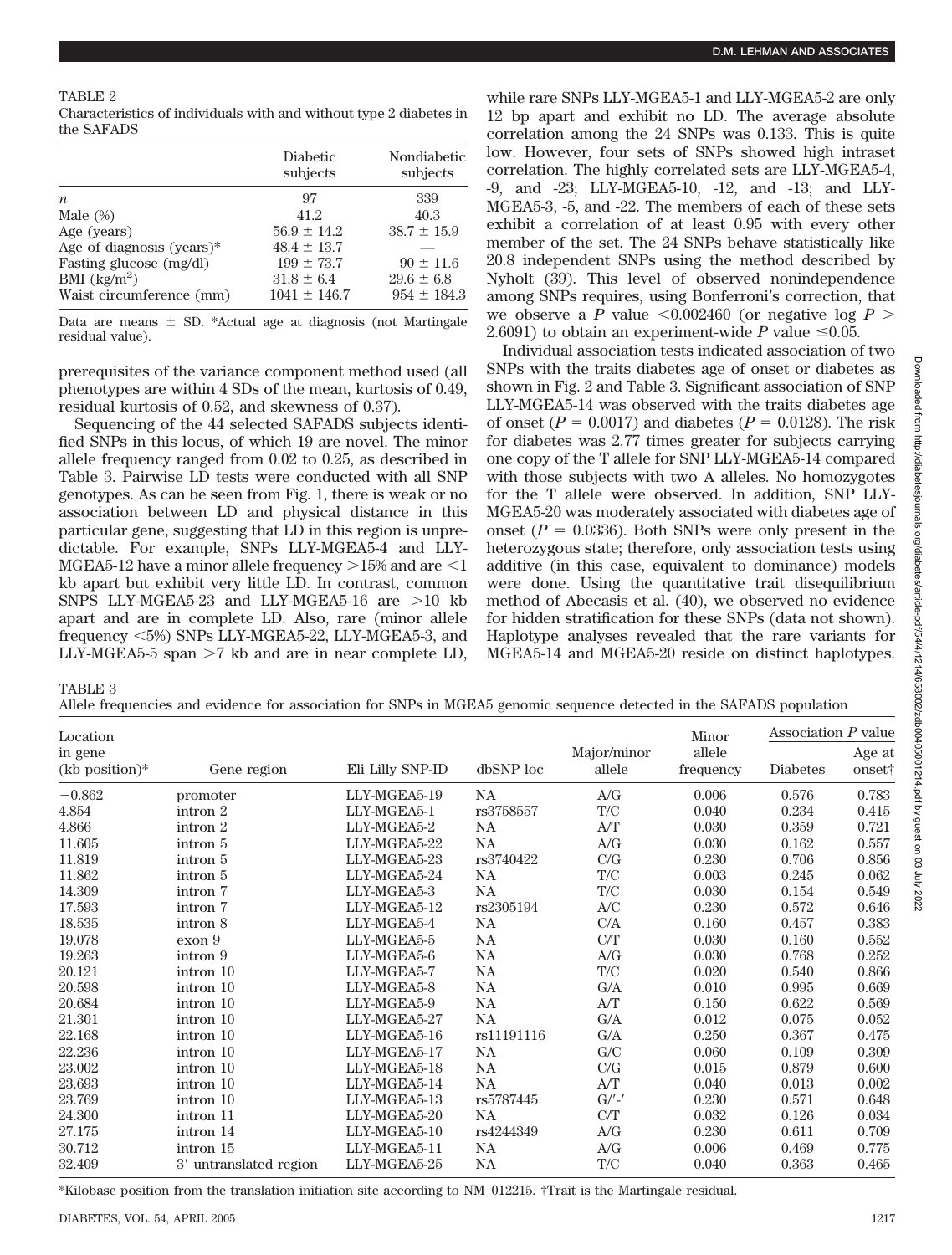## TABLE 2

| Characteristics of individuals with and without type 2 diabetes in |  |  |  |
|--------------------------------------------------------------------|--|--|--|
| the SAFADS                                                         |  |  |  |

|                              | Diabetic<br>subjects | Nondiabetic<br>subjects |
|------------------------------|----------------------|-------------------------|
| $\boldsymbol{n}$             | 97                   | 339                     |
| Male $(\%)$                  | 41.2                 | 40.3                    |
| Age (years)                  | $56.9 \pm 14.2$      | $38.7 \pm 15.9$         |
| Age of diagnosis (years) $*$ | $48.4 \pm 13.7$      |                         |
| Fasting glucose (mg/dl)      | $199 \pm 73.7$       | $90 \pm 11.6$           |
| BMI $(kg/m^2)$               | $31.8 \pm 6.4$       | $29.6 \pm 6.8$          |
| Waist circumference (mm)     | $1041 \pm 146.7$     | $954 \pm 184.3$         |

Data are means  $\pm$  SD. \*Actual age at diagnosis (not Martingale residual value).

prerequisites of the variance component method used (all phenotypes are within 4 SDs of the mean, kurtosis of 0.49, residual kurtosis of 0.52, and skewness of 0.37).

Sequencing of the 44 selected SAFADS subjects identified SNPs in this locus, of which 19 are novel. The minor allele frequency ranged from 0.02 to 0.25, as described in Table 3. Pairwise LD tests were conducted with all SNP genotypes. As can be seen from Fig. 1, there is weak or no association between LD and physical distance in this particular gene, suggesting that LD in this region is unpredictable. For example, SNPs LLY-MGEA5-4 and LLY-MGEA5-12 have a minor allele frequency  $>$ 15% and are  $<$ 1 kb apart but exhibit very little LD. In contrast, common SNPS LLY-MGEA5-23 and LLY-MGEA5-16 are  $>10$  kb apart and are in complete LD. Also, rare (minor allele frequency 5%) SNPs LLY-MGEA5-22, LLY-MGEA5-3, and LLY-MGEA5-5 span  $>7$  kb and are in near complete LD,

while rare SNPs LLY-MGEA5-1 and LLY-MGEA5-2 are only 12 bp apart and exhibit no LD. The average absolute correlation among the 24 SNPs was 0.133. This is quite low. However, four sets of SNPs showed high intraset correlation. The highly correlated sets are LLY-MGEA5-4, -9, and -23; LLY-MGEA5-10, -12, and -13; and LLY-MGEA5-3, -5, and -22. The members of each of these sets exhibit a correlation of at least 0.95 with every other member of the set. The 24 SNPs behave statistically like 20.8 independent SNPs using the method described by Nyholt (39). This level of observed nonindependence among SNPs requires, using Bonferroni's correction, that we observe a *P* value  $\leq 0.002460$  (or negative log *P*  $>$ 2.6091) to obtain an experiment-wide  $P$  value  $\leq 0.05$ .

Individual association tests indicated association of two SNPs with the traits diabetes age of onset or diabetes as shown in Fig. 2 and Table 3. Significant association of SNP LLY-MGEA5-14 was observed with the traits diabetes age of onset  $(P = 0.0017)$  and diabetes  $(P = 0.0128)$ . The risk for diabetes was 2.77 times greater for subjects carrying one copy of the T allele for SNP LLY-MGEA5-14 compared with those subjects with two A alleles. No homozygotes for the T allele were observed. In addition, SNP LLY-MGEA5-20 was moderately associated with diabetes age of onset  $(P = 0.0336)$ . Both SNPs were only present in the heterozygous state; therefore, only association tests using additive (in this case, equivalent to dominance) models were done. Using the quantitative trait disequilibrium method of Abecasis et al. (40), we observed no evidence for hidden stratification for these SNPs (data not shown). Haplotype analyses revealed that the rare variants for MGEA5-14 and MGEA5-20 reside on distinct haplotypes.

TABLE 3

Allele frequencies and evidence for association for SNPs in MGEA5 genomic sequence detected in the SAFADS population

| Location                    |                        |                  |            |                       | Minor               | Association $P$ value |                              |
|-----------------------------|------------------------|------------------|------------|-----------------------|---------------------|-----------------------|------------------------------|
| in gene<br>$(kb$ position)* | Gene region            | Eli Lilly SNP-ID | dbSNP loc  | Major/minor<br>allele | allele<br>frequency | <b>Diabetes</b>       | Age at<br>onset <sup>†</sup> |
| $-0.862$                    | promoter               | LLY-MGEA5-19     | <b>NA</b>  | A/G                   | 0.006               | 0.576                 | 0.783                        |
| 4.854                       | intron 2               | LLY-MGEA5-1      | rs3758557  | T/C                   | 0.040               | 0.234                 | 0.415                        |
| 4.866                       | intron 2               | LLY-MGEA5-2      | <b>NA</b>  | A/T                   | 0.030               | 0.359                 | 0.721                        |
| 11.605                      | intron 5               | LLY-MGEA5-22     | <b>NA</b>  | A/G                   | 0.030               | 0.162                 | 0.557                        |
| 11.819                      | intron 5               | LLY-MGEA5-23     | rs3740422  | C/G                   | 0.230               | 0.706                 | 0.856                        |
| 11.862                      | intron 5               | LLY-MGEA5-24     | <b>NA</b>  | T/C                   | 0.003               | 0.245                 | 0.062                        |
| 14.309                      | intron 7               | LLY-MGEA5-3      | <b>NA</b>  | T/C                   | 0.030               | 0.154                 | 0.549                        |
| 17.593                      | intron 7               | LLY-MGEA5-12     | rs2305194  | A/C                   | 0.230               | 0.572                 | 0.646                        |
| 18.535                      | intron 8               | LLY-MGEA5-4      | <b>NA</b>  | C/A                   | 0.160               | 0.457                 | 0.383                        |
| 19.078                      | exon 9                 | LLY-MGEA5-5      | <b>NA</b>  | C/T                   | 0.030               | 0.160                 | 0.552                        |
| 19.263                      | intron 9               | LLY-MGEA5-6      | <b>NA</b>  | A/G                   | 0.030               | 0.768                 | 0.252                        |
| 20.121                      | intron 10              | LLY-MGEA5-7      | <b>NA</b>  | T/C                   | 0.020               | 0.540                 | 0.866                        |
| 20.598                      | intron 10              | LLY-MGEA5-8      | NA         | G/A                   | 0.010               | 0.995                 | 0.669                        |
| 20.684                      | intron 10              | LLY-MGEA5-9      | <b>NA</b>  | A/T                   | 0.150               | 0.622                 | 0.569                        |
| 21.301                      | intron 10              | LLY-MGEA5-27     | <b>NA</b>  | G/A                   | 0.012               | 0.075                 | 0.052                        |
| 22.168                      | intron 10              | LLY-MGEA5-16     | rs11191116 | G/A                   | 0.250               | 0.367                 | 0.475                        |
| 22.236                      | intron 10              | LLY-MGEA5-17     | <b>NA</b>  | G/C                   | 0.060               | 0.109                 | 0.309                        |
| 23.002                      | intron 10              | LLY-MGEA5-18     | <b>NA</b>  | C/G                   | 0.015               | 0.879                 | 0.600                        |
| 23.693                      | intron 10              | LLY-MGEA5-14     | <b>NA</b>  | A/T                   | 0.040               | 0.013                 | 0.002                        |
| 23.769                      | intron 10              | LLY-MGEA5-13     | rs5787445  | $G/$ '-'              | 0.230               | 0.571                 | 0.648                        |
| 24.300                      | intron 11              | LLY-MGEA5-20     | <b>NA</b>  | C/T                   | 0.032               | 0.126                 | 0.034                        |
| 27.175                      | intron 14              | LLY-MGEA5-10     | rs4244349  | A/G                   | 0.230               | 0.611                 | 0.709                        |
| 30.712                      | intron 15              | LLY-MGEA5-11     | NA         | A/G                   | 0.006               | 0.469                 | 0.775                        |
| 32.409                      | 3' untranslated region | LLY-MGEA5-25     | NA         | T/C                   | 0.040               | 0.363                 | 0.465                        |

\*Kilobase position from the translation initiation site according to NM\_012215. †Trait is the Martingale residual.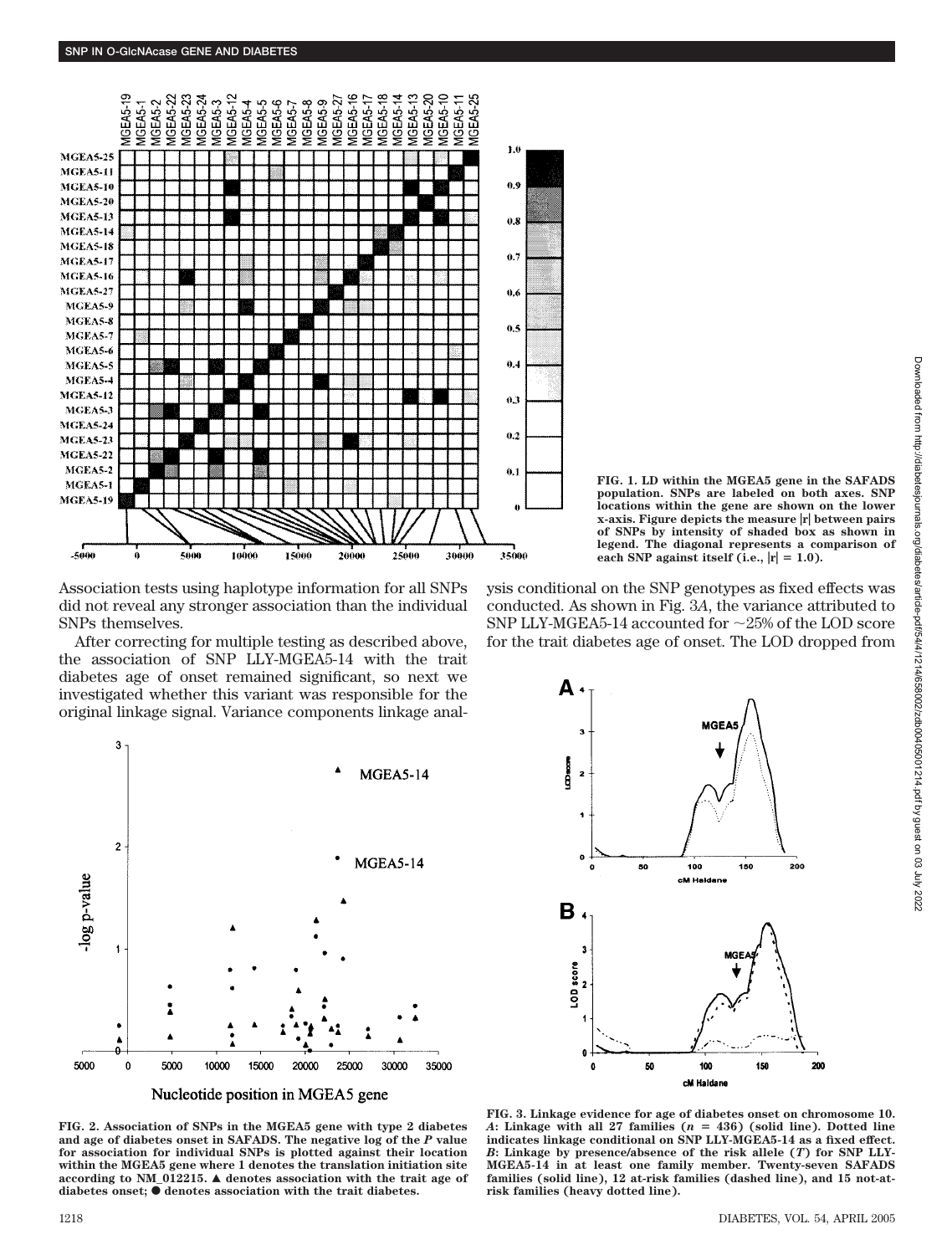

Association tests using haplotype information for all SNPs did not reveal any stronger association than the individual SNPs themselves.

After correcting for multiple testing as described above, the association of SNP LLY-MGEA5-14 with the trait diabetes age of onset remained significant, so next we investigated whether this variant was responsible for the original linkage signal. Variance components linkage anal-



Nucleotide position in MGEA5 gene

**FIG. 2. Association of SNPs in the MGEA5 gene with type 2 diabetes and age of diabetes onset in SAFADS. The negative log of the** *P* **value for association for individual SNPs is plotted against their location within the MGEA5 gene where 1 denotes the translation initiation site according to NM\_012215.** Œ **denotes association with the trait age of** diabetes onset;  $\bullet$  denotes association with the trait diabetes.

**FIG. 1. LD within the MGEA5 gene in the SAFADS population. SNPs are labeled on both axes. SNP locations within the gene are shown on the lower x-axis. Figure depicts the measure**  $|\mathbf{r}|$  **between pairs of SNPs by intensity of shaded box as shown in legend. The diagonal represents a comparison of** each SNP against itself (i.e.,  $|r| = 1.0$ ).

ysis conditional on the SNP genotypes as fixed effects was conducted. As shown in Fig. 3*A*, the variance attributed to SNP LLY-MGEA5-14 accounted for  $\sim$ 25% of the LOD score for the trait diabetes age of onset. The LOD dropped from



**FIG. 3. Linkage evidence for age of diabetes onset on chromosome 10.** *A***: Linkage with all 27 families (***n* - **436) (solid line). Dotted line indicates linkage conditional on SNP LLY-MGEA5-14 as a fixed effect.** *B***: Linkage by presence/absence of the risk allele (***T***) for SNP LLY-MGEA5-14 in at least one family member. Twenty-seven SAFADS families (solid line), 12 at-risk families (dashed line), and 15 not-atrisk families (heavy dotted line).**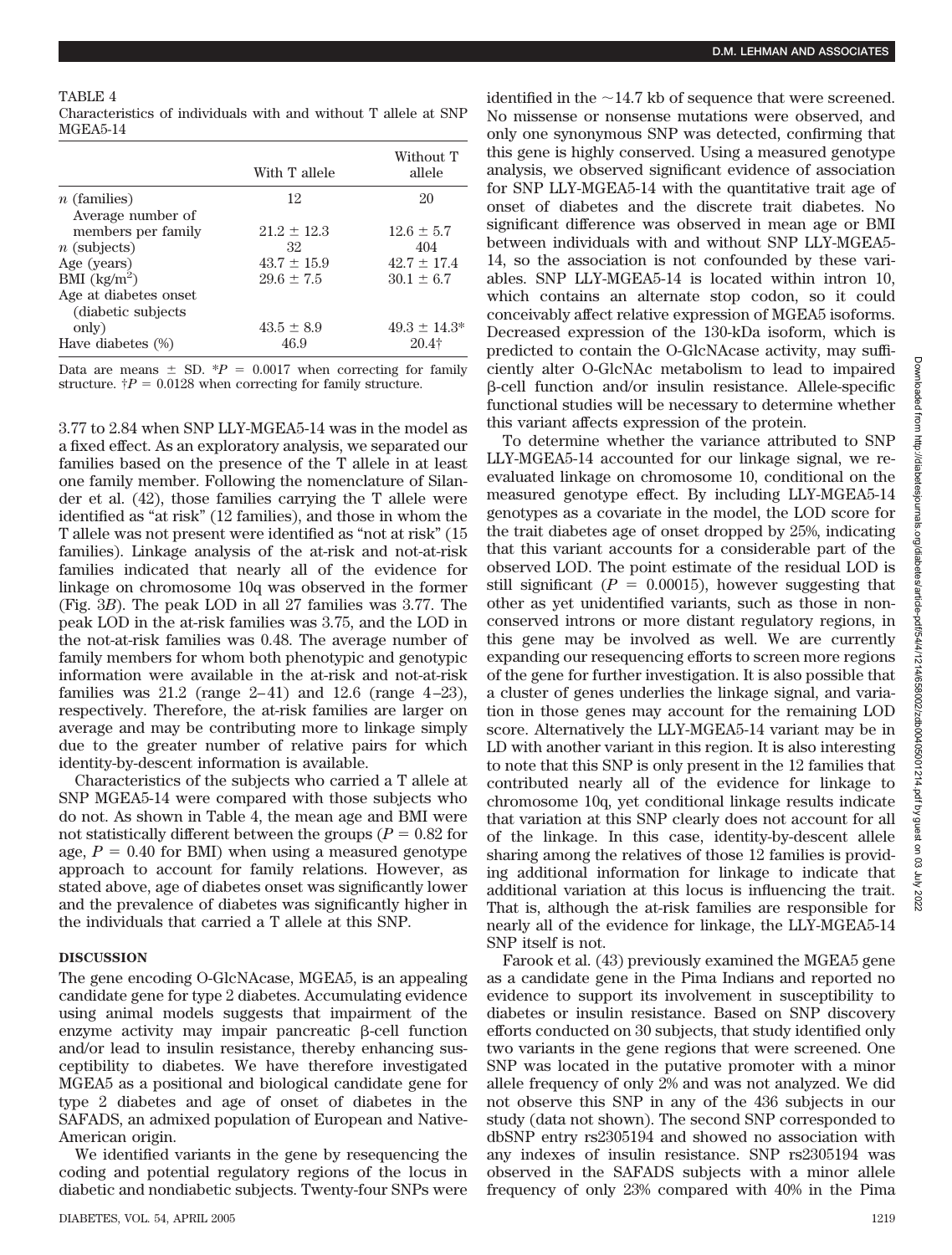## TABLE 4

| Characteristics of individuals with and without T allele at SNP |  |  |  |  |  |
|-----------------------------------------------------------------|--|--|--|--|--|
| MGEA5-14                                                        |  |  |  |  |  |

|                                              | With T allele   | Without T<br>allele |
|----------------------------------------------|-----------------|---------------------|
| $n$ (families)<br>Average number of          | 12              | 20                  |
| members per family                           | $21.2 + 12.3$   | $12.6 + 5.7$        |
| $n$ (subjects)                               | 32              | 404                 |
| Age (years)                                  | $43.7 \pm 15.9$ | $42.7 \pm 17.4$     |
| BMI $(kg/m^2)$                               | $29.6 \pm 7.5$  | $30.1 + 6.7$        |
| Age at diabetes onset<br>(diabetic subjects) |                 |                     |
| only)                                        | $43.5 \pm 8.9$  | $49.3 \pm 14.3^*$   |
| Have diabetes (%)                            | 46.9            | $20.4$ †            |

Data are means  $\pm$  SD.  $*P = 0.0017$  when correcting for family structure.  $\dagger P = 0.0128$  when correcting for family structure.

3.77 to 2.84 when SNP LLY-MGEA5-14 was in the model as a fixed effect. As an exploratory analysis, we separated our families based on the presence of the T allele in at least one family member. Following the nomenclature of Silander et al. (42), those families carrying the T allele were identified as "at risk" (12 families), and those in whom the T allele was not present were identified as "not at risk" (15 families). Linkage analysis of the at-risk and not-at-risk families indicated that nearly all of the evidence for linkage on chromosome 10q was observed in the former (Fig. 3*B*). The peak LOD in all 27 families was 3.77. The peak LOD in the at-risk families was 3.75, and the LOD in the not-at-risk families was 0.48. The average number of family members for whom both phenotypic and genotypic information were available in the at-risk and not-at-risk families was  $21.2$  (range  $2-41$ ) and  $12.6$  (range  $4-23$ ), respectively. Therefore, the at-risk families are larger on average and may be contributing more to linkage simply due to the greater number of relative pairs for which identity-by-descent information is available.

Characteristics of the subjects who carried a T allele at SNP MGEA5-14 were compared with those subjects who do not. As shown in Table 4, the mean age and BMI were not statistically different between the groups ( $P = 0.82$  for age,  $P = 0.40$  for BMI) when using a measured genotype approach to account for family relations. However, as stated above, age of diabetes onset was significantly lower and the prevalence of diabetes was significantly higher in the individuals that carried a T allele at this SNP.

## **DISCUSSION**

The gene encoding O-GlcNAcase, MGEA5, is an appealing candidate gene for type 2 diabetes. Accumulating evidence using animal models suggests that impairment of the enzyme activity may impair pancreatic  $\beta$ -cell function and/or lead to insulin resistance, thereby enhancing susceptibility to diabetes. We have therefore investigated MGEA5 as a positional and biological candidate gene for type 2 diabetes and age of onset of diabetes in the SAFADS, an admixed population of European and Native-American origin.

We identified variants in the gene by resequencing the coding and potential regulatory regions of the locus in diabetic and nondiabetic subjects. Twenty-four SNPs were identified in the  $\sim$ 14.7 kb of sequence that were screened. No missense or nonsense mutations were observed, and only one synonymous SNP was detected, confirming that this gene is highly conserved. Using a measured genotype analysis, we observed significant evidence of association for SNP LLY-MGEA5-14 with the quantitative trait age of onset of diabetes and the discrete trait diabetes. No significant difference was observed in mean age or BMI between individuals with and without SNP LLY-MGEA5- 14, so the association is not confounded by these variables. SNP LLY-MGEA5-14 is located within intron 10, which contains an alternate stop codon, so it could conceivably affect relative expression of MGEA5 isoforms. Decreased expression of the 130-kDa isoform, which is predicted to contain the O-GlcNAcase activity, may sufficiently alter O-GlcNAc metabolism to lead to impaired --cell function and/or insulin resistance. Allele-specific functional studies will be necessary to determine whether this variant affects expression of the protein.

To determine whether the variance attributed to SNP LLY-MGEA5-14 accounted for our linkage signal, we reevaluated linkage on chromosome 10, conditional on the measured genotype effect. By including LLY-MGEA5-14 genotypes as a covariate in the model, the LOD score for the trait diabetes age of onset dropped by 25%, indicating that this variant accounts for a considerable part of the observed LOD. The point estimate of the residual LOD is still significant  $(P = 0.00015)$ , however suggesting that other as yet unidentified variants, such as those in nonconserved introns or more distant regulatory regions, in this gene may be involved as well. We are currently expanding our resequencing efforts to screen more regions of the gene for further investigation. It is also possible that a cluster of genes underlies the linkage signal, and variation in those genes may account for the remaining LOD score. Alternatively the LLY-MGEA5-14 variant may be in LD with another variant in this region. It is also interesting to note that this SNP is only present in the 12 families that contributed nearly all of the evidence for linkage to chromosome 10q, yet conditional linkage results indicate that variation at this SNP clearly does not account for all of the linkage. In this case, identity-by-descent allele sharing among the relatives of those 12 families is providing additional information for linkage to indicate that additional variation at this locus is influencing the trait. That is, although the at-risk families are responsible for nearly all of the evidence for linkage, the LLY-MGEA5-14 SNP itself is not.

Farook et al. (43) previously examined the MGEA5 gene as a candidate gene in the Pima Indians and reported no evidence to support its involvement in susceptibility to diabetes or insulin resistance. Based on SNP discovery efforts conducted on 30 subjects, that study identified only two variants in the gene regions that were screened. One SNP was located in the putative promoter with a minor allele frequency of only 2% and was not analyzed. We did not observe this SNP in any of the 436 subjects in our study (data not shown). The second SNP corresponded to dbSNP entry rs2305194 and showed no association with any indexes of insulin resistance. SNP rs2305194 was observed in the SAFADS subjects with a minor allele frequency of only 23% compared with 40% in the Pima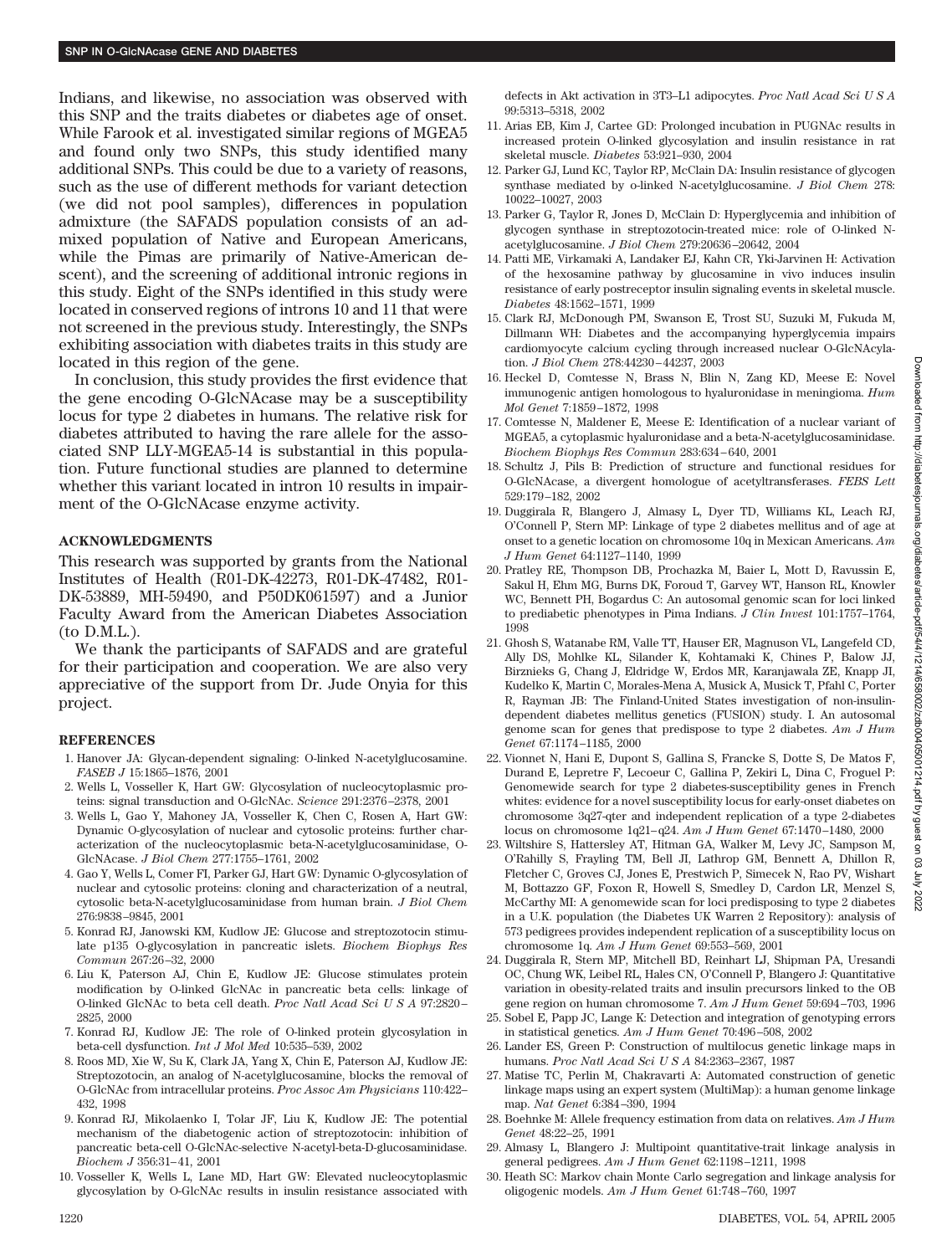Indians, and likewise, no association was observed with this SNP and the traits diabetes or diabetes age of onset. While Farook et al. investigated similar regions of MGEA5 and found only two SNPs, this study identified many additional SNPs. This could be due to a variety of reasons, such as the use of different methods for variant detection (we did not pool samples), differences in population admixture (the SAFADS population consists of an admixed population of Native and European Americans, while the Pimas are primarily of Native-American descent), and the screening of additional intronic regions in this study. Eight of the SNPs identified in this study were located in conserved regions of introns 10 and 11 that were not screened in the previous study. Interestingly, the SNPs exhibiting association with diabetes traits in this study are located in this region of the gene.

In conclusion, this study provides the first evidence that the gene encoding O-GlcNAcase may be a susceptibility locus for type 2 diabetes in humans. The relative risk for diabetes attributed to having the rare allele for the associated SNP LLY-MGEA5-14 is substantial in this population. Future functional studies are planned to determine whether this variant located in intron 10 results in impairment of the O-GlcNAcase enzyme activity.

### **ACKNOWLEDGMENTS**

This research was supported by grants from the National Institutes of Health (R01-DK-42273, R01-DK-47482, R01- DK-53889, MH-59490, and P50DK061597) and a Junior Faculty Award from the American Diabetes Association (to D.M.L.).

We thank the participants of SAFADS and are grateful for their participation and cooperation. We are also very appreciative of the support from Dr. Jude Onyia for this project.

#### **REFERENCES**

- 1. Hanover JA: Glycan-dependent signaling: O-linked N-acetylglucosamine. *FASEB J* 15:1865–1876, 2001
- 2. Wells L, Vosseller K, Hart GW: Glycosylation of nucleocytoplasmic proteins: signal transduction and O-GlcNAc. *Science* 291:2376 –2378, 2001
- 3. Wells L, Gao Y, Mahoney JA, Vosseller K, Chen C, Rosen A, Hart GW: Dynamic O-glycosylation of nuclear and cytosolic proteins: further characterization of the nucleocytoplasmic beta-N-acetylglucosaminidase, O-GlcNAcase. *J Biol Chem* 277:1755–1761, 2002
- 4. Gao Y, Wells L, Comer FI, Parker GJ, Hart GW: Dynamic O-glycosylation of nuclear and cytosolic proteins: cloning and characterization of a neutral, cytosolic beta-N-acetylglucosaminidase from human brain. *J Biol Chem* 276:9838 –9845, 2001
- 5. Konrad RJ, Janowski KM, Kudlow JE: Glucose and streptozotocin stimulate p135 O-glycosylation in pancreatic islets. *Biochem Biophys Res Commun* 267:26 –32, 2000
- 6. Liu K, Paterson AJ, Chin E, Kudlow JE: Glucose stimulates protein modification by O-linked GlcNAc in pancreatic beta cells: linkage of O-linked GlcNAc to beta cell death. *Proc Natl Acad SciUSA* 97:2820 – 2825, 2000
- 7. Konrad RJ, Kudlow JE: The role of O-linked protein glycosylation in beta-cell dysfunction. *Int J Mol Med* 10:535–539, 2002
- 8. Roos MD, Xie W, Su K, Clark JA, Yang X, Chin E, Paterson AJ, Kudlow JE: Streptozotocin, an analog of N-acetylglucosamine, blocks the removal of O-GlcNAc from intracellular proteins. *Proc Assoc Am Physicians* 110:422– 432, 1998
- 9. Konrad RJ, Mikolaenko I, Tolar JF, Liu K, Kudlow JE: The potential mechanism of the diabetogenic action of streptozotocin: inhibition of pancreatic beta-cell O-GlcNAc-selective N-acetyl-beta-D-glucosaminidase. *Biochem J* 356:31– 41, 2001
- 10. Vosseller K, Wells L, Lane MD, Hart GW: Elevated nucleocytoplasmic glycosylation by O-GlcNAc results in insulin resistance associated with

defects in Akt activation in 3T3–L1 adipocytes. *Proc Natl Acad SciUSA* 99:5313–5318, 2002

- 11. Arias EB, Kim J, Cartee GD: Prolonged incubation in PUGNAc results in increased protein O-linked glycosylation and insulin resistance in rat skeletal muscle. *Diabetes* 53:921–930, 2004
- 12. Parker GJ, Lund KC, Taylor RP, McClain DA: Insulin resistance of glycogen synthase mediated by o-linked N-acetylglucosamine. *J Biol Chem* 278: 10022–10027, 2003
- 13. Parker G, Taylor R, Jones D, McClain D: Hyperglycemia and inhibition of glycogen synthase in streptozotocin-treated mice: role of O-linked Nacetylglucosamine. *J Biol Chem* 279:20636 –20642, 2004
- 14. Patti ME, Virkamaki A, Landaker EJ, Kahn CR, Yki-Jarvinen H: Activation of the hexosamine pathway by glucosamine in vivo induces insulin resistance of early postreceptor insulin signaling events in skeletal muscle. *Diabetes* 48:1562–1571, 1999
- 15. Clark RJ, McDonough PM, Swanson E, Trost SU, Suzuki M, Fukuda M, Dillmann WH: Diabetes and the accompanying hyperglycemia impairs cardiomyocyte calcium cycling through increased nuclear O-GlcNAcylation. *J Biol Chem* 278:44230 – 44237, 2003
- 16. Heckel D, Comtesse N, Brass N, Blin N, Zang KD, Meese E: Novel immunogenic antigen homologous to hyaluronidase in meningioma. *Hum Mol Genet* 7:1859 –1872, 1998
- 17. Comtesse N, Maldener E, Meese E: Identification of a nuclear variant of MGEA5, a cytoplasmic hyaluronidase and a beta-N-acetylglucosaminidase. *Biochem Biophys Res Commun* 283:634 – 640, 2001
- 18. Schultz J, Pils B: Prediction of structure and functional residues for O-GlcNAcase, a divergent homologue of acetyltransferases. *FEBS Lett* 529:179 –182, 2002
- 19. Duggirala R, Blangero J, Almasy L, Dyer TD, Williams KL, Leach RJ, O'Connell P, Stern MP: Linkage of type 2 diabetes mellitus and of age at onset to a genetic location on chromosome 10q in Mexican Americans. *Am J Hum Genet* 64:1127–1140, 1999
- 20. Pratley RE, Thompson DB, Prochazka M, Baier L, Mott D, Ravussin E, Sakul H, Ehm MG, Burns DK, Foroud T, Garvey WT, Hanson RL, Knowler WC, Bennett PH, Bogardus C: An autosomal genomic scan for loci linked to prediabetic phenotypes in Pima Indians. *J Clin Invest* 101:1757–1764, 1998
- 21. Ghosh S, Watanabe RM, Valle TT, Hauser ER, Magnuson VL, Langefeld CD, Ally DS, Mohlke KL, Silander K, Kohtamaki K, Chines P, Balow JJ, Birznieks G, Chang J, Eldridge W, Erdos MR, Karanjawala ZE, Knapp JI, Kudelko K, Martin C, Morales-Mena A, Musick A, Musick T, Pfahl C, Porter R, Rayman JB: The Finland-United States investigation of non-insulindependent diabetes mellitus genetics (FUSION) study. I. An autosomal genome scan for genes that predispose to type 2 diabetes. *Am J Hum Genet* 67:1174 –1185, 2000
- 22. Vionnet N, Hani E, Dupont S, Gallina S, Francke S, Dotte S, De Matos F, Durand E, Lepretre F, Lecoeur C, Gallina P, Zekiri L, Dina C, Froguel P: Genomewide search for type 2 diabetes-susceptibility genes in French whites: evidence for a novel susceptibility locus for early-onset diabetes on chromosome 3q27-qter and independent replication of a type 2-diabetes locus on chromosome 1q21– q24. *Am J Hum Genet* 67:1470 –1480, 2000
- 23. Wiltshire S, Hattersley AT, Hitman GA, Walker M, Levy JC, Sampson M, O'Rahilly S, Frayling TM, Bell JI, Lathrop GM, Bennett A, Dhillon R, Fletcher C, Groves CJ, Jones E, Prestwich P, Simecek N, Rao PV, Wishart M, Bottazzo GF, Foxon R, Howell S, Smedley D, Cardon LR, Menzel S, McCarthy MI: A genomewide scan for loci predisposing to type 2 diabetes in a U.K. population (the Diabetes UK Warren 2 Repository): analysis of 573 pedigrees provides independent replication of a susceptibility locus on chromosome 1q. *Am J Hum Genet* 69:553–569, 2001
- 24. Duggirala R, Stern MP, Mitchell BD, Reinhart LJ, Shipman PA, Uresandi OC, Chung WK, Leibel RL, Hales CN, O'Connell P, Blangero J: Quantitative variation in obesity-related traits and insulin precursors linked to the OB gene region on human chromosome 7. *Am J Hum Genet* 59:694 –703, 1996
- 25. Sobel E, Papp JC, Lange K: Detection and integration of genotyping errors in statistical genetics. *Am J Hum Genet* 70:496 –508, 2002
- 26. Lander ES, Green P: Construction of multilocus genetic linkage maps in humans. *Proc Natl Acad SciUSA* 84:2363–2367, 1987
- 27. Matise TC, Perlin M, Chakravarti A: Automated construction of genetic linkage maps using an expert system (MultiMap): a human genome linkage map. *Nat Genet* 6:384 –390, 1994
- 28. Boehnke M: Allele frequency estimation from data on relatives. *Am J Hum Genet* 48:22–25, 1991
- 29. Almasy L, Blangero J: Multipoint quantitative-trait linkage analysis in general pedigrees. *Am J Hum Genet* 62:1198 –1211, 1998
- 30. Heath SC: Markov chain Monte Carlo segregation and linkage analysis for oligogenic models. *Am J Hum Genet* 61:748 –760, 1997

**Downloaded** 

mom